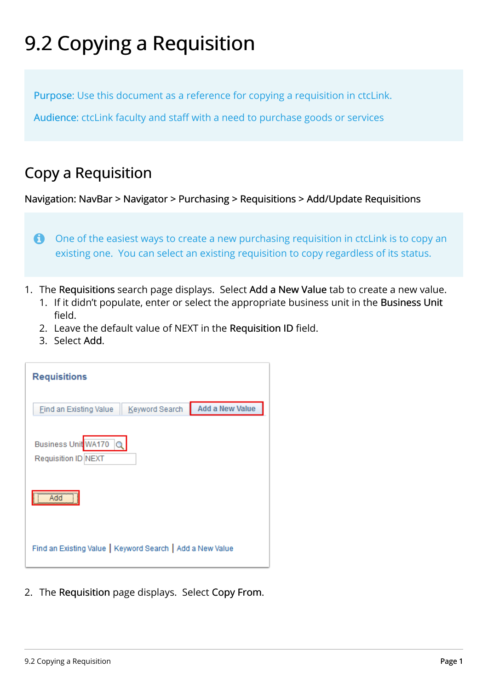## 9.2 Copying a Requisition

Purpose: Use this document as a reference for copying a requisition in ctcLink.

Audience: ctcLink faculty and staff with a need to purchase goods or services

## Copy a Requisition

Navigation: NavBar > Navigator > Purchasing > Requisitions > Add/Update Requisitions

One of the easiest ways to create a new purchasing requisition in ctcLink is to copy an existing one. You can select an existing requisition to copy regardless of its status.

- 1. The Requisitions search page displays. Select Add a New Value tab to create a new value.
	- 1. If it didn't populate, enter or select the appropriate business unit in the Business Unit field.
	- 2. Leave the default value of NEXT in the Requisition ID field.
	- 3. Select Add.

| <b>Requisitions</b>                                       |                |                 |
|-----------------------------------------------------------|----------------|-----------------|
| <b>Find an Existing Value</b>                             | Keyword Search | Add a New Value |
| Business Unit WA170<br>Requisition ID NEXT                |                |                 |
| ,,,,,,,,,,,,,,,,,,,,,,,,,,,,,                             |                |                 |
| Find an Existing Value   Keyword Search   Add a New Value |                |                 |

2. The Requisition page displays. Select Copy From.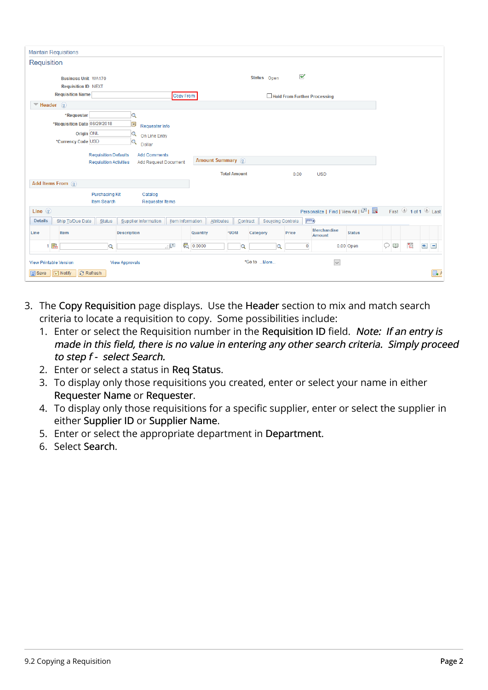| <b>Maintain Requisitions</b>                                                   |                                                                                    |                        |                          |                              |                                       |               |   |   |               |                     |
|--------------------------------------------------------------------------------|------------------------------------------------------------------------------------|------------------------|--------------------------|------------------------------|---------------------------------------|---------------|---|---|---------------|---------------------|
| Requisition                                                                    |                                                                                    |                        |                          |                              |                                       |               |   |   |               |                     |
| <b>Business Unit WA170</b><br><b>Requisition ID NEXT</b>                       |                                                                                    |                        | Status Open              | ✔                            |                                       |               |   |   |               |                     |
| <b>Requisition Name</b>                                                        | Copy From                                                                          |                        |                          | Hold From Further Processing |                                       |               |   |   |               |                     |
| $\Psi$ Header ?                                                                |                                                                                    |                        |                          |                              |                                       |               |   |   |               |                     |
| *Requester<br>*Requisition Date 08/29/2018<br>Origin ONL<br>*Currency Code USD | $\alpha$<br>E<br>Requester Info<br>$\alpha$<br>On Line Entry<br>$\alpha$<br>Dollar |                        |                          |                              |                                       |               |   |   |               |                     |
| <b>Requisition Defaults</b><br><b>Requisition Activities</b>                   | <b>Add Comments</b><br><b>Add Request Document</b>                                 | Amount Summary ?       |                          |                              |                                       |               |   |   |               |                     |
|                                                                                |                                                                                    | <b>Total Amount</b>    |                          | 0.00                         | <b>USD</b>                            |               |   |   |               |                     |
| Add Items From (?)                                                             |                                                                                    |                        |                          |                              |                                       |               |   |   |               |                     |
| <b>Purchasing Kit</b><br>Item Search                                           | Catalog<br><b>Requester Items</b>                                                  |                        |                          |                              |                                       |               |   |   |               |                     |
| Line $(2)$                                                                     |                                                                                    |                        |                          |                              | Personalize   Find   View All   2   표 |               |   |   |               | First 1 of 1 2 Last |
| <b>Details</b><br>Ship To/Due Date<br><b>Status</b>                            | Supplier Information<br><b>Item Information</b>                                    | Attributes<br>Contract | <b>Sourcing Controls</b> | $\boxed{=}$                  |                                       |               |   |   |               |                     |
| Item<br>Line                                                                   | Description                                                                        | Quantity<br>*UOM       | Category                 | Price                        | Merchandise<br><b>Amount</b>          | <b>Status</b> |   |   |               |                     |
| 1 階<br>$\alpha$                                                                | [코                                                                                 | 6 0.0000<br>Q          | $\Omega$                 | $\mathbf 0$                  |                                       | $0.00$ Open   | Q | Œ | $\frac{1}{2}$ | $+$<br>$\Box$       |
| <b>View Printable Version</b>                                                  | <b>View Approvals</b>                                                              |                        | *Go to More              |                              | $\checkmark$                          |               |   |   |               |                     |
| <b>開</b> Save<br><b>E</b> Notify<br><b>C</b> Refresh                           |                                                                                    |                        |                          |                              |                                       |               |   |   |               | $\Box$ $\land$      |

- 3. The Copy Requisition page displays. Use the Header section to mix and match search criteria to locate a requisition to copy. Some possibilities include:
	- 1. Enter or select the Requisition number in the Requisition ID field. Note: If an entry is made in this field, there is no value in entering any other search criteria. Simply proceed to step f - select Search.
	- 2. Enter or select a status in Req Status.
	- 3. To display only those requisitions you created, enter or select your name in either Requester Name or Requester.
	- 4. To display only those requisitions for a specific supplier, enter or select the supplier in either Supplier ID or Supplier Name.
	- 5. Enter or select the appropriate department in Department.
	- 6. Select Search.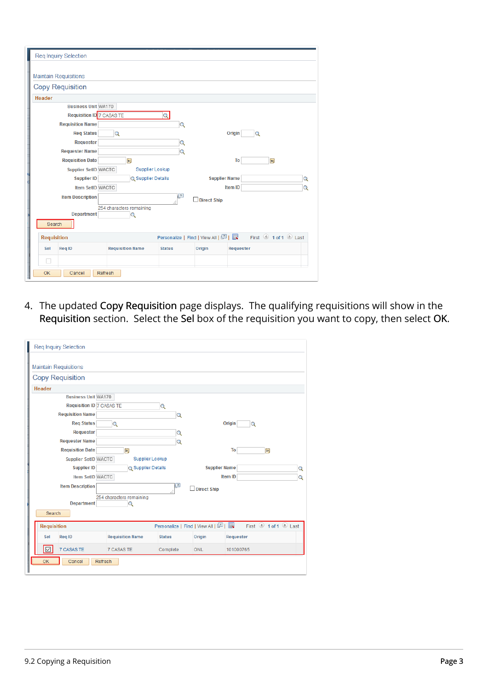| <b>Reg Inquiry Selection</b>                                               |                     |
|----------------------------------------------------------------------------|---------------------|
| <b>Maintain Requisitions</b>                                               |                     |
| <b>Copy Requisition</b>                                                    |                     |
| Header                                                                     |                     |
| <b>Business Unit WA170</b>                                                 |                     |
| <b>Requisition ID 7 CASAS TE</b><br>Q                                      |                     |
| <b>Requisition Name</b><br>$\alpha$                                        |                     |
| <b>Reg Status</b><br>$\alpha$                                              | Origin<br>$\circ$   |
| Requester<br>$\alpha$                                                      |                     |
| <b>Requester Name</b><br>$\alpha$                                          |                     |
| Ħ<br><b>Requisition Date</b>                                               | To<br>Ħ             |
| <b>Supplier Lookup</b><br><b>Supplier SetID WACTC</b>                      |                     |
| <b>Supplier ID</b><br><b>Supplier Name</b><br><b>Q</b> Supplier Details    | Q                   |
| Item SetID WACTC                                                           | Item ID<br>Q        |
| $\vert$ $\pi$<br><b>Item Description</b><br>Direct Ship                    |                     |
| 254 characters remaining                                                   |                     |
| <b>Department</b><br>Q                                                     |                     |
| Search                                                                     |                     |
| Personalize   Find   View All   2    <br><b>Requisition</b>                | First 1 of 1 D Last |
| <b>Requisition Name</b><br>Sel<br><b>Req ID</b><br><b>Status</b><br>Origin | Requester           |
| L.                                                                         |                     |
| OK<br>Cancel<br>Refresh                                                    |                     |

4. The updated Copy Requisition page displays. The qualifying requisitions will show in the Requisition section. Select the Sel box of the requisition you want to copy, then select OK.

| <b>Reg Inquiry Selection</b>     |                               |               |                                   |                                         |
|----------------------------------|-------------------------------|---------------|-----------------------------------|-----------------------------------------|
| <b>Maintain Requisitions</b>     |                               |               |                                   |                                         |
| <b>Copy Requisition</b>          |                               |               |                                   |                                         |
| Header                           |                               |               |                                   |                                         |
| <b>Business Unit WA170</b>       |                               |               |                                   |                                         |
| <b>Requisition ID 7 CASAS TE</b> |                               | Q             |                                   |                                         |
| <b>Requisition Name</b>          |                               | $\mathbf Q$   |                                   |                                         |
| <b>Req Status</b>                | Q                             |               |                                   | Origin<br>$\mathbf Q$                   |
| Requester                        |                               | $\mathbf Q$   |                                   |                                         |
| <b>Requester Name</b>            |                               | $\mathbf Q$   |                                   |                                         |
| <b>Requisition Date</b>          | Ħ                             |               |                                   | To<br>Ħ                                 |
| <b>Supplier SetID WACTC</b>      | Supplier Lookup               |               |                                   |                                         |
| <b>Supplier ID</b>               | <b>Q</b> Supplier Details     |               | Supplier Name                     | $\mathbf Q$                             |
| Item SetID WACTC                 |                               |               |                                   | <b>Item ID</b><br>$\overline{Q}$        |
| <b>Item Description</b>          |                               | b             | Direct Ship                       |                                         |
| <b>Department</b>                | 254 characters remaining<br>Q |               |                                   |                                         |
| Search                           |                               |               |                                   |                                         |
| <b>Requisition</b>               |                               |               | Personalize   Find   View All   2 | First $\bigcirc$ 1 of 1 $\bigcirc$ Last |
| Req ID<br>Sel                    | <b>Requisition Name</b>       | <b>Status</b> | Origin                            | Requester                               |
| 7 CASAS TE<br>☑                  | <b>7 CASAS TE</b>             | Complete      | <b>ONL</b>                        | 101000765                               |
| OK<br>Cancel<br>Refresh          |                               |               |                                   |                                         |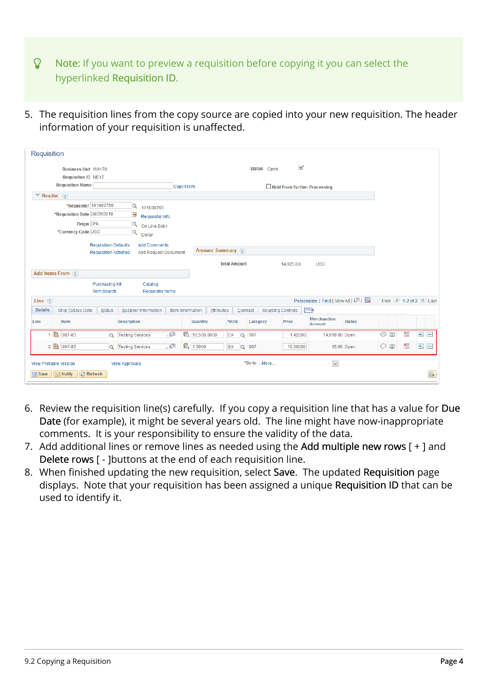- $\Omega$  Note: If you want to preview a requisition before copying it you can select the hyperlinked Requisition ID.
- 5. The requisition lines from the copy source are copied into your new requisition. The header information of your requisition is unaffected.

| <b>Requisition</b>                                       |                                                              |                                    |                                      |                                   |               |           |   |                          |
|----------------------------------------------------------|--------------------------------------------------------------|------------------------------------|--------------------------------------|-----------------------------------|---------------|-----------|---|--------------------------|
| <b>Business Unit WA170</b><br><b>Requisition ID NEXT</b> |                                                              |                                    | Status Open                          | $\blacktriangledown$              |               |           |   |                          |
| <b>Requisition Name</b>                                  | Copy From                                                    |                                    |                                      | Hold From Further Processing      |               |           |   |                          |
| Header <sub>?</sub><br>$\overline{\phantom{a}}$          |                                                              |                                    |                                      |                                   |               |           |   |                          |
| *Requester 101000765                                     | $\alpha$<br>101000765                                        |                                    |                                      |                                   |               |           |   |                          |
| *Requisition Date 08/29/2018                             | 31<br>Requester Info                                         |                                    |                                      |                                   |               |           |   |                          |
| Origin ONL                                               | $\alpha$<br>On Line Entry                                    |                                    |                                      |                                   |               |           |   |                          |
| *Currency Code USD                                       | Q<br>Dollar                                                  |                                    |                                      |                                   |               |           |   |                          |
|                                                          | <b>Requisition Defaults</b><br><b>Add Comments</b>           | Amount Summary ?                   |                                      |                                   |               |           |   |                          |
|                                                          | <b>Requisition Activities</b><br><b>Add Request Document</b> |                                    |                                      |                                   |               |           |   |                          |
|                                                          |                                                              | <b>Total Amount</b>                | 14,925.00                            | <b>USD</b>                        |               |           |   |                          |
| Add Items From (?)                                       |                                                              |                                    |                                      |                                   |               |           |   |                          |
| Item Search                                              | <b>Purchasing Kit</b><br>Catalog                             |                                    |                                      |                                   |               |           |   |                          |
| Line $(2)$                                               | <b>Requester Items</b>                                       |                                    |                                      | Personalize   Find   View All   2 |               |           |   | First 1-2 of 2 Last      |
| <b>Details</b><br>Ship To/Due Date                       | Status<br>Supplier Information                               | Attributes<br>Item Information     | <b>Sourcing Controls</b><br>Contract | $\boxed{\Box}$                    |               |           |   |                          |
| <b>Item</b><br>Line                                      | <b>Description</b>                                           | *UOM<br>Quantity                   | Category<br>Price                    | Merchandise<br>Amount             | <b>Status</b> |           |   |                          |
| 1 图 907-83                                               | $\mathbb{R}^n$<br>$\Omega$<br><b>Testing Services</b>        | 暍<br>10,500.0000<br>EA<br>$\alpha$ | 907                                  | 1.42000<br>14,910.00 Open         |               | ⊕<br>E    | 國 | $+$<br>$\qquad \qquad =$ |
| 2 图 907-83                                               | … [지<br><b>Testing Services</b><br>$\Omega$                  | 6 1.0000<br>EA<br>$\alpha$         | 907                                  | 15.00000<br>15.00 Open            |               | $\circ$ 0 | 圈 | $\pm$<br>$\boxed{-}$     |
| <b>View Printable Version</b>                            | <b>View Approvals</b>                                        |                                    | *Go to  More                         | $\check{~}$                       |               |           |   |                          |
| <b>E</b> Notify<br><b>C</b> Refresh<br><b>開</b> Save     |                                                              |                                    |                                      |                                   |               |           |   | $\Box$                   |

- 6. Review the requisition line(s) carefully. If you copy a requisition line that has a value for Due Date (for example), it might be several years old. The line might have now-inappropriate comments. It is your responsibility to ensure the validity of the data.
- 7. Add additional lines or remove lines as needed using the Add multiple new rows [ + ] and Delete rows [ - ]buttons at the end of each requisition line.
- 8. When finished updating the new requisition, select Save. The updated Requisition page displays. Note that your requisition has been assigned a unique Requisition ID that can be used to identify it.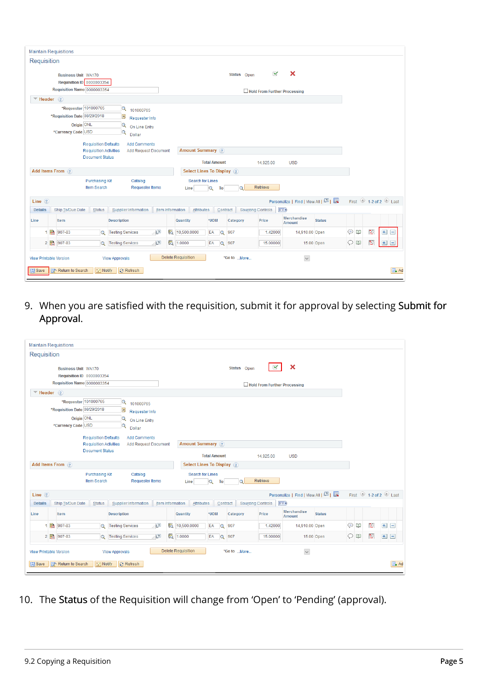| <b>Maintain Requisitions</b>                                                                                                                                                                  |                                                                                          |                                                                                        |                                                                                           |              |                                |                     |              |                          |                                     |               |               |   |                     |
|-----------------------------------------------------------------------------------------------------------------------------------------------------------------------------------------------|------------------------------------------------------------------------------------------|----------------------------------------------------------------------------------------|-------------------------------------------------------------------------------------------|--------------|--------------------------------|---------------------|--------------|--------------------------|-------------------------------------|---------------|---------------|---|---------------------|
| Requisition                                                                                                                                                                                   |                                                                                          |                                                                                        |                                                                                           |              |                                |                     |              |                          |                                     |               |               |   |                     |
| $\boldsymbol{\mathsf{x}}$<br>$\overline{\mathbf{v}}$<br>Status Open<br><b>Business Unit WA170</b><br>Requisition ID 0000003354<br>Requisition Name 0000003354<br>Hold From Further Processing |                                                                                          |                                                                                        |                                                                                           |              |                                |                     |              |                          |                                     |               |               |   |                     |
| $\Psi$ Header ?                                                                                                                                                                               |                                                                                          |                                                                                        |                                                                                           |              |                                |                     |              |                          |                                     |               |               |   |                     |
|                                                                                                                                                                                               | *Requester 101000765<br>*Requisition Date 08/29/2018<br>Origin ONL<br>*Currency Code USD |                                                                                        | $\alpha$<br>101000765<br>31<br>Requester Info<br>$\alpha$<br>On Line Entry<br>Q<br>Dollar |              |                                |                     |              |                          |                                     |               |               |   |                     |
|                                                                                                                                                                                               |                                                                                          | <b>Requisition Defaults</b><br><b>Requisition Activities</b><br><b>Document Status</b> | <b>Add Comments</b><br><b>Add Request Document</b>                                        |              | <b>Amount Summary</b> ?        | <b>Total Amount</b> |              | 14,925.00                | <b>USD</b>                          |               |               |   |                     |
| Add Items From ?                                                                                                                                                                              |                                                                                          |                                                                                        |                                                                                           |              | Select Lines To Display ?      |                     |              |                          |                                     |               |               |   |                     |
|                                                                                                                                                                                               |                                                                                          | <b>Purchasing Kit</b><br>Item Search                                                   | Catalog<br><b>Requester Items</b>                                                         |              | Search for Lines<br>Line       | $\alpha$<br>To      | $\circ$      | Retrieve                 |                                     |               |               |   |                     |
| Line $(2)$                                                                                                                                                                                    |                                                                                          |                                                                                        |                                                                                           |              |                                |                     |              |                          | Personalize   Find   View All   2   |               |               |   | First 1-2 of 2 Last |
| <b>Details</b>                                                                                                                                                                                | Ship To/Due Date                                                                         | Status                                                                                 | Supplier Information                                                                      |              | Attributes<br>Item Information | Contract            |              | <b>Sourcing Controls</b> | $\boxed{=}$                         |               |               |   |                     |
| Line                                                                                                                                                                                          | Item                                                                                     |                                                                                        | <b>Description</b>                                                                        |              | Quantity                       | *UOM                | Category     | Price                    | <b>Merchandise</b><br><b>Amount</b> | <b>Status</b> |               |   |                     |
| 1 图 907-83                                                                                                                                                                                    |                                                                                          | $\circ$                                                                                | <b>Testing Services</b>                                                                   | $\mathbb{Z}$ | 暍<br>10,500.0000               | EA<br>$\alpha$      | 907          | 1.42000                  | 14,910.00 Open                      |               | $\odot$<br>Eg | 圈 | $+$ $-$             |
| 2 图 907-83                                                                                                                                                                                    |                                                                                          | $\Omega$                                                                               | <b>Testing Services</b>                                                                   | …া⊉          | 题 1.0000                       | EA                  | Q 907        | 15.00000                 |                                     | 15.00 Open    | $\circ$       | 圈 | $+$<br>$\Box$       |
| <b>View Printable Version</b><br><b>同</b> Save                                                                                                                                                | nd <sup>+</sup> Return to Search                                                         | 달 Notify                                                                               | <b>View Approvals</b><br><b>C</b> Refresh                                                 |              | <b>Delete Requisition</b>      |                     | *Go to  More |                          | $\backsim$                          |               |               |   | Ad                  |

9. When you are satisfied with the requisition, submit it for approval by selecting Submit for Approval.

| <b>Maintain Requisitions</b>                   |                                                                                                                                                                                |                                                                                        |                                                                                              |                         |                                 |                     |              |                          |                                        |            |                                           |     |                   |
|------------------------------------------------|--------------------------------------------------------------------------------------------------------------------------------------------------------------------------------|----------------------------------------------------------------------------------------|----------------------------------------------------------------------------------------------|-------------------------|---------------------------------|---------------------|--------------|--------------------------|----------------------------------------|------------|-------------------------------------------|-----|-------------------|
| Requisition                                    |                                                                                                                                                                                |                                                                                        |                                                                                              |                         |                                 |                     |              |                          |                                        |            |                                           |     |                   |
|                                                | $\boldsymbol{\mathsf{x}}$<br>⊻<br>Status Open<br><b>Business Unit WA170</b><br><b>Requisition ID 0000003354</b><br>Requisition Name 0000003354<br>Hold From Further Processing |                                                                                        |                                                                                              |                         |                                 |                     |              |                          |                                        |            |                                           |     |                   |
| $\Psi$ Header $\binom{2}{3}$                   |                                                                                                                                                                                |                                                                                        |                                                                                              |                         |                                 |                     |              |                          |                                        |            |                                           |     |                   |
|                                                | *Requester 101000765<br>*Requisition Date 08/29/2018<br>Origin ONL<br>*Currency Code USD                                                                                       |                                                                                        | $\mathbf Q$<br>101000765<br>B1<br>Requester Info<br>$\alpha$<br>On Line Entry<br>Q<br>Dollar |                         |                                 |                     |              |                          |                                        |            |                                           |     |                   |
|                                                |                                                                                                                                                                                | <b>Requisition Defaults</b><br><b>Requisition Activities</b><br><b>Document Status</b> | <b>Add Comments</b><br><b>Add Request Document</b>                                           |                         | Amount Summary ?                |                     |              |                          |                                        |            |                                           |     |                   |
| Add Items From 2                               |                                                                                                                                                                                |                                                                                        |                                                                                              |                         | Select Lines To Display ?       | <b>Total Amount</b> |              | 14,925.00                | <b>USD</b>                             |            |                                           |     |                   |
|                                                |                                                                                                                                                                                | <b>Purchasing Kit</b><br>Item Search                                                   | Catalog<br><b>Requester Items</b>                                                            |                         | <b>Search for Lines</b><br>Line | $\alpha$<br>To      | $\bullet$    | Retrieve                 |                                        |            |                                           |     |                   |
| Line $(2)$                                     |                                                                                                                                                                                |                                                                                        |                                                                                              |                         |                                 |                     |              |                          | Personalize   Find   View All   [7]    |            | First $\bigcirc$ 1-2 of 2 $\bigcirc$ Last |     |                   |
| <b>Details</b>                                 | Ship To/Due Date                                                                                                                                                               | Status                                                                                 | Supplier Information                                                                         | <b>Item Information</b> | Attributes                      | Contract            |              | <b>Sourcing Controls</b> | $\boxed{=}$                            |            |                                           |     |                   |
| Line                                           | Item                                                                                                                                                                           |                                                                                        | Description                                                                                  |                         | Quantity                        | *UOM                | Category     | Price                    | Merchandise<br><b>Status</b><br>Amount |            |                                           |     |                   |
|                                                | 1 图 907-83                                                                                                                                                                     | $\alpha$                                                                               | $\mathbb{Z}$<br><b>Testing Services</b>                                                      |                         | 图 10,500.0000                   | EA<br>$\alpha$      | 907          | 1.42000                  | 14,910.00 Open                         | $\odot$ B  | 圈                                         | $+$ | $\qquad \qquad =$ |
|                                                | 2 图 907-83                                                                                                                                                                     | $\Omega$                                                                               | ∴⊵⊡<br><b>Testing Services</b>                                                               |                         | 题 1.0000                        | EA                  | Q 907        | 15,00000                 | 15.00 Open                             | $\circ$ of | 圈                                         | $+$ | $\Box$            |
| <b>View Printable Version</b><br><b>日</b> Save | Return to Search                                                                                                                                                               | <b>할 Notify</b>                                                                        | <b>View Approvals</b><br><b>C</b> Refresh                                                    |                         | <b>Delete Requisition</b>       |                     | *Go to  More |                          | $\backsim$                             |            |                                           |     | Ad                |
|                                                |                                                                                                                                                                                |                                                                                        |                                                                                              |                         |                                 |                     |              |                          |                                        |            |                                           |     |                   |

10. The Status of the Requisition will change from 'Open' to 'Pending' (approval).